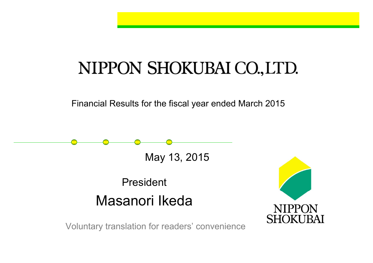# NIPPON SHOKUBAI CO., LTD.

Financial Results for the fiscal year ended March 2015

May 13, 2015

## PresidentMasanori Ikeda



Voluntary translation for readers' convenience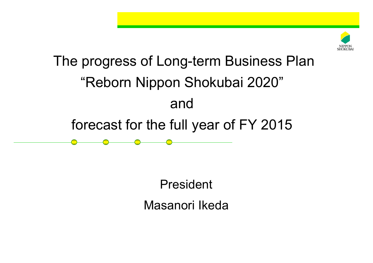

# The progress of Long-term Business Plan "Reborn Nippon Shokubai 2020" andforecast for the full year of FY 2015

President Masanori Ikeda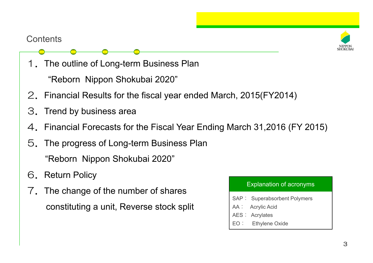#### **Contents**



1.The outline of Long-term Business Plan Contents<br>
1. The outline of Long-term Business<br>
"Reborn Nippon Shokubai 2020"

- 2.Financial Results for the fiscal year ended March, 2015(FY2014)
- 3.Trend by business area
- 4. Financial Forecasts for the Fiscal Year Ending March 31,2016 (FY 2015)
- 5.The progress of Long-term Business Plan "Reborn Nippon Shokubai 2020"
- 6. Return Policy
- 7. The change of the number of shares constituting a unit, Reverse stock split

- SAP:Superabsorbent Polymers
- AA:Acrylic Acid
- AES: Acrylates
- EO:Ethylene Oxide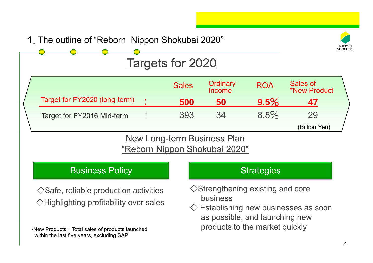#### 1. The outline of "Reborn Nippon Shokubai 2020"



## Targets for 2020

|                               | <b>Sales</b> | Ordinary<br>Income | <b>ROA</b> | Sales of<br>*New Product |
|-------------------------------|--------------|--------------------|------------|--------------------------|
| Target for FY2020 (long-term) | 500          | 50                 | 9.5%       | 47                       |
| Target for FY2016 Mid-term    | 393          | 34                 | 8.5%       | 29                       |
|                               |              |                    |            | (Billion Yen)            |

#### New Long-term Business Plan "Reborn Nippon Shokubai 2020"

### Business Policy **Strategies** Business Policy

 $\Diamond$ Safe, reliable production activities  $\Diamond$ Strengthening and coreeas  $\Diamond$ Highlighting profitability over sales

•New Products:Total sales of products launched within the last five years, excluding SAP

- $\diamond$ Strengthening existing and core
- $\diamondsuit$  Establishing new businesses as soon as possible, and launching new products to the market quickly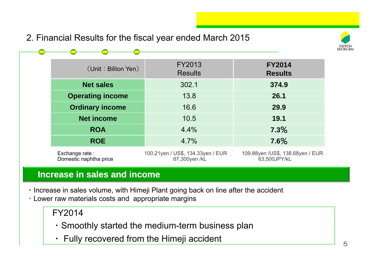2. Financial Results for the fiscal year ended March 2015



| (Unit: Billion Yen)                      | FY2013<br><b>Results</b>                           | <b>FY2014</b><br><b>Results</b>                   |
|------------------------------------------|----------------------------------------------------|---------------------------------------------------|
| <b>Net sales</b>                         | 302.1                                              | 374.9                                             |
| <b>Operating income</b>                  | 13.8                                               | 26.1                                              |
| <b>Ordinary income</b>                   | 16.6                                               | 29.9                                              |
| <b>Net income</b>                        | 10.5                                               | 19.1                                              |
| <b>ROA</b>                               | 4.4%                                               | 7.3%                                              |
| <b>ROE</b>                               | 4.7%                                               | 7.6%                                              |
| Exchange rate:<br>Domestic naphtha price | 100.21yen / US\$, 134.33yen / EUR<br>67,300yen /kL | 109.88yen / US\$, 138.68yen / EUR<br>63,500JPY/kL |

#### **Increase in sales and income**

- $\cdot$  Increase in sales volume, with Himeji Plant going back on line after the accident
- ・Lower raw materials costs and appropriate margins

FY2014

- ・Smoothly started the medium-term business plan
- ・ Fully recovered from the Himeji accident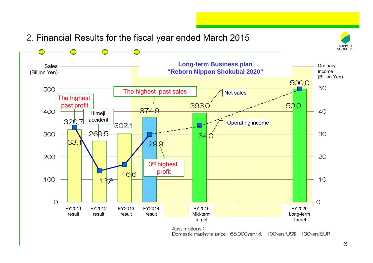

2. Financial Results for the fiscal year ended March 2015

Domestic naphtha price 65,000yen/kl, 100yen/US\$、130yen/EUR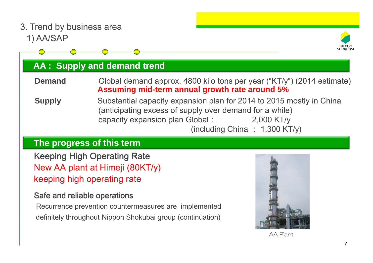1) AA/SAP 3. Trend by business area **AA : Supply and demand trend Demand** Global demand approx. 4800 kilo tons per year ("KT/y") (2014 estimate) **Assuming mid-term annual growth rate around 5% Supply** Substantial capacity expansion plan for 2014 to 2015 mostly in China (anticipating excess of supply over demand for a while) capacity expansion plan Global: 2,000 KT/y (including China : 1,300 KT/y) Keeping High Operating Rate **The progress of this term** New AA plant at Himeji (80KT/y) keeping high operating rate

#### Safe and reliable operations

Recurrence prevention countermeasures are implemented definitely throughout Nippon Shokubai group (continuation)



AA Plant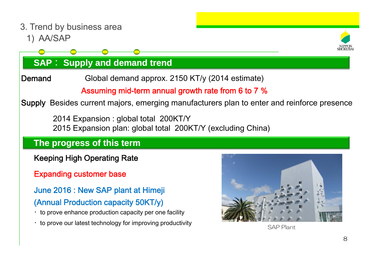1) AA/SAP 3. Trend by business area



### **SAP**: **Supply and demand trend**

Demand Global demand approx. 2150 KT/y (2014 estimate)

#### Assuming mid-term annual growth rate from 6 to 7 %

Supply Besides current majors, emerging manufacturers plan to enter and reinforce presence

2014 Expansion : global total 200KT/Y 2015 Expansion plan: global total 200KT/Y (excluding China)

### **The progress of this term**

- Keeping High Operating Rate
- Expanding customer base

June 2016 : New SAP plant at Himeji (Annual Production capacity 50KT/y)

- $\cdot$  to prove enhance production capacity per one facility
- $\cdot$  to prove our latest technology for improving productivity



SAP Plant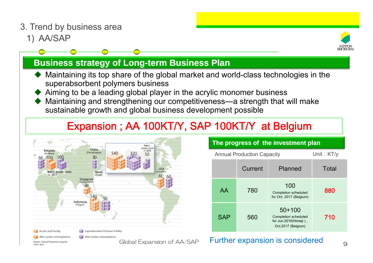- 3. Trend by business area
	- 1) AA/SAP



#### **Business strategy of Long-term Business Plan**

- ♦  $\blacklozenge$  Maintaining its top share of the global market and world-class technologies in the superabsorbent polymers business
- ♦ Aiming to be a leading global player in the acrylic monomer business
- ♦ Maintaining and strengthening our competitiveness—a strength that will make sustainable growth and global business development possible

### Expansion ; AA 100KT/Y, SAP 100KT/Y at Belgium



| The progress of the investment plan |                                                   |                                                                                 |       |  |  |
|-------------------------------------|---------------------------------------------------|---------------------------------------------------------------------------------|-------|--|--|
|                                     | Unit: $KT/v$<br><b>Annual Production Capacity</b> |                                                                                 |       |  |  |
|                                     | Current                                           | Planned                                                                         | Total |  |  |
| AA                                  | 780                                               | 100<br>Completion scheduled<br>for Oct. 2017 (Belgium)                          | 880   |  |  |
| <b>SAP</b>                          | 560                                               | $50+100$<br>Completion scheduled<br>for Jun.2016(Himeji),<br>Oct.2017 (Belgium) | 710   |  |  |

#### Global Expansion of AA/SAP Further expansion is considered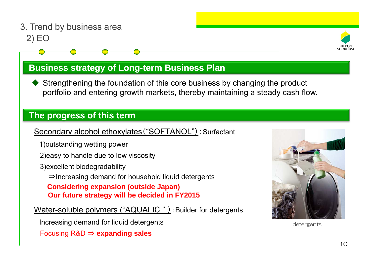#### 2) EO 3. Trend by business area



#### **Business strategy of Long-term Business Plan**

♦ Strengthening the foundation of this core business by changing the product portfolio and entering growth markets, thereby maintaining a steady cash flow.

#### **The progress of this term**

Secondary alcohol ethoxylates ("SOFTANOL") : Surfactant<br>1)outstanding wetting power

- 
- 2)easy to handle due to low viscosity
- 3)excellent biodegradability
	- <sup>⇒</sup>Increasing demand for household liquid detergents

**Considering expansion (outside Japan) Our future strategy will be decided in FY2015**

Water-soluble polymers ("AQUALIC "): Builder for detergents

Increasing demand for liquid detergents

Focusing R&D <sup>⇒</sup> **expanding sales**



detergents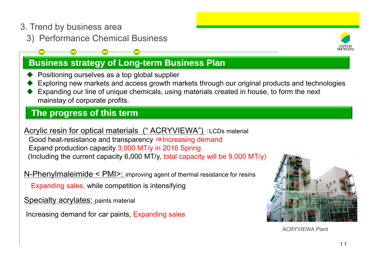- 3. Trend by business area
	- 3) Performance Chemical Business )

#### **Business strategy of Long-term Business Plan**

- ♦ Positioning ourselves as a top global supplier
- ♦ Exploring new markets and access growth markets through our original products and technologies
- ♦ Expanding our line of unique chemicals, using materials created in house, to form the next mainstay of corporate profits.

#### **The progress of this term**

**Acrylic resin for optical materials (" ACRYVIEWA")** : LCDs material

Good heat-resistance and transparency ⇒Increasing demand Expand production capacity 3,000 MT/y in 2016 Spring (Including the current capacity 6,000 MT/y, total capacity will be 9,000 MT/y)

N-Phenylmaleimide < PMI>: improving agent of thermal resistance for resins

Expanding sales, while competition is intensifying

Specialty acrylates: paints material

Increasing demand for car paints, Expanding sales



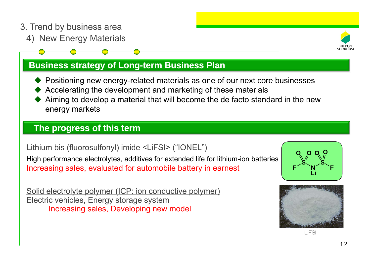- 3. Trend by business area
	- 4) New Energy Materials



#### **Business strategy of Long-term Business Plan**

- ◆ Positioning new energy-related materials as one of our next core businesses
- ♦ Accelerating the development and marketing of these materials
- ♦ Aiming to develop a material that will become the de facto standard in the new energy markets

#### **The progress of this term p g**

#### Lithium bis (fluorosulfonyl) imide <LiFSI> ("IONEL")

High performance electrolytes, additives for extended life for lithium-ion batteries **SAM I** Increasing sales, evaluated for automobile battery in earnest

Solid electrolyte polymer (ICP: ion conductive polymer) Electric vehicles, Energy storage system Increasing sales, Developing new model



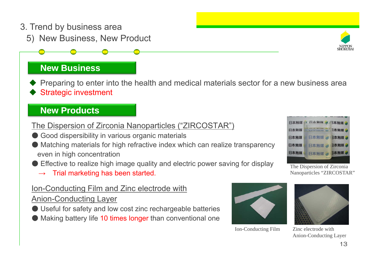#### 3. Trend by business area

5) New Business, New Product

#### **New Business**

♦ Preparing to enter into the health and medical materials sector for a new business area ♦ Strategic investment

#### **New Products**

#### The Dispersion of Zirconia Nanoparticles ("ZIRCOSTAR")

- Good dispersibility in various organic materials
- Matching materials for high refractive index which can realize transparency even in high concentration
- ●Effective to realize high image quality and electric power saving for display
	- $\rightarrow$ Trial marketing has been started.

#### Ion-Conducting Film and Zinc electrode with Conducting

#### Anion-Conducting Layer

- Useful for safety and low cost zinc rechargeable batteries
- Making battery life 10 times longer than conventional one

Ion-Conducting Film



Nanoparticles "ZIRCOSTAR"

Zinc electrode withAnion-Conducting Layer



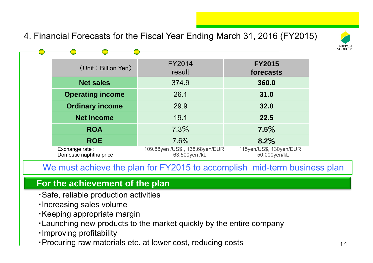4. Financial Forecasts for the Fiscal Year Ending March 31, 2016 (FY2015)



| (Unit: Billion Yen)                      | <b>FY2014</b><br>result                          | <b>FY2015</b><br>forecasts              |
|------------------------------------------|--------------------------------------------------|-----------------------------------------|
| <b>Net sales</b>                         | 374.9                                            | 360.0                                   |
| <b>Operating income</b>                  | 26.1                                             | 31.0                                    |
| <b>Ordinary income</b>                   | 29.9                                             | 32.0                                    |
| <b>Net income</b>                        | 19.1                                             | 22.5                                    |
| <b>ROA</b>                               | 7.3%                                             | 7.5%                                    |
| <b>ROE</b>                               | 7.6%                                             | 8.2%                                    |
| Exchange rate:<br>Domestic naphtha price | 109.88yen / US\$, 138.68yen/EUR<br>63,500yen /kL | 115yen/US\$, 130yen/EUR<br>50,000yen/kL |

We must achieve the plan for FY2015 to accomplish mid-term business plan

#### **For the achievement of the plan**

- ・Safe, reliable production activities
- ・Increasing sales volume
- ・Keeping appropriate margin
- •Launching new products to the market quickly by the entire company
- ・Improving profitability
- ・Procuring raw materials etc. at lower cost, reducing costs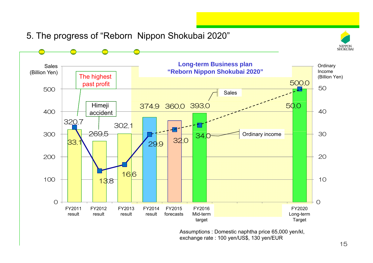

5. The progress of "Reborn Nippon Shokubai 2020"

Assumptions : Domestic naphtha price 65,000 yen/kl, exchange rate : 100 yen/US\$, 130 yen/EUR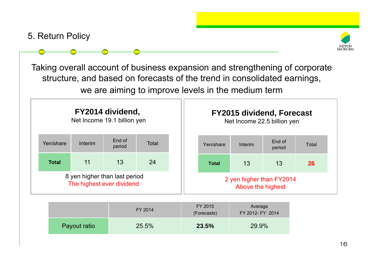5. Return Policy



Taking overall account of business expansion and strengthening of corporate structure, and based on forecasts of the trend in consolidated earnings, we are aiming to improve levels in the medium term



|              | FY 2014 | FY 2015<br>(Forecasts) | Average<br>FY 2012- FY 2014 |
|--------------|---------|------------------------|-----------------------------|
| Payout ratio | 25.5%   | 23.5%                  | 29.9%                       |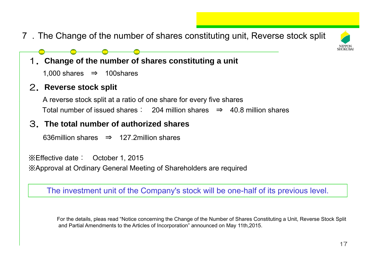7.The Change of the number of shares constituting unit, Reverse stock split



- 1.**Change of the number of shares constituting a unit**
	- 1,000 shares  $\Rightarrow$  100shares

#### 2.**Reverse stock split**

A reverse stock split at a ratio of one share for every five shares Total number of issued shares: 204 million shares <sup>⇒</sup> 40.8 million shares

#### 3.**The total number of authorized shares**

636million shares ⇒ 127.2million shares

※Effective date: October 1, 2015 ※Approval at Ordinary General Meeting of Shareholders are required

The investment unit of the Company's stock will be one-half of its previous level.

For the details, pleas read "Notice concerning the Change of the Number of Shares Constituting a Unit, Reverse Stock Split and Partial Amendments to the Articles of Incorporation" announced on May 11th,2015.